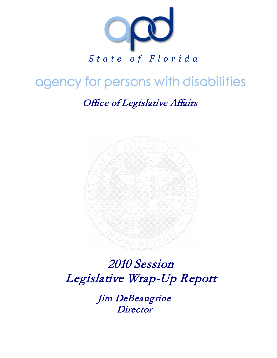

# agency for persons with disabilities

# Office of Legislative Affairs



# 2010 Session Legislative Wrap-Up Report

 Jim DeBeaugrine **Director**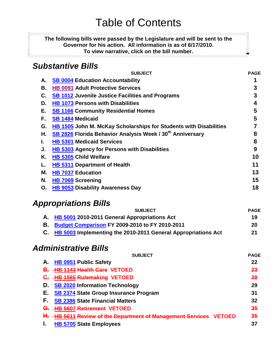**The following bills were passed by the Legislature and will be sent to the Governor for his action. All information is as of 6/17/2010. To view narrative, click on the bill number.**

**BEESSINGS** 

### <span id="page-1-0"></span>*Substantive Bills*

**EFFECTORY** 

|    | <b>SUBJECT</b>                                                          | <b>PAGE</b> |
|----|-------------------------------------------------------------------------|-------------|
| А. | <b>SB 0004 Education Accountability</b>                                 |             |
| В. | <b>HB 0091 Adult Protective Services</b>                                | 3           |
| C. | <b>SB 1012 Juvenile Justice Facilities and Programs</b>                 | 3           |
| D. | <b>HB 1073 Persons with Disabilities</b>                                | 4           |
| Е. | <b>SB 1166 Community Residential Homes</b>                              | 5           |
| F. | <b>SB 1484 Medicaid</b>                                                 | 5           |
|    | HB 1505 John M. McKay Scholarships for Students with Disabilities<br>G. |             |
| Η. | SB 2826 Florida Behavior Analysis Week / 30 <sup>th</sup> Anniversary   | 8           |
| L. | <b>HB 5301 Medicaid Services</b>                                        | 8           |
| J. | HB 5303 Agency for Persons with Disabilities                            | 9           |
|    | Κ.<br>HB 5305 Child Welfare                                             | 10          |
|    | <b>HB 5311 Department of Health</b>                                     | 11          |
|    | Μ.<br><b>HB 7037 Education</b>                                          | 13          |
| N. | <b>HB 7069 Screening</b>                                                | 15          |
| 0. | <b>HB 9053 Disability Awareness Day</b>                                 | 18          |
|    |                                                                         |             |

## *Appropriations Bills*

<span id="page-1-1"></span>

| <b>SUBJECT</b>                                                   | <b>PAGE</b> |
|------------------------------------------------------------------|-------------|
| A. HB 5001 2010-2011 General Appropriations Act                  | 19          |
| <b>B.</b> Budget Comparison FY 2009-2010 to FY 2010-2011         | 20          |
| C. HB 5003 Implementing the 2010-2011 General Appropriations Act | 21          |

## *Administrative Bills*

| <b>SUBJECT</b>                                                                  | <b>PAGE</b> |
|---------------------------------------------------------------------------------|-------------|
| <b>HB 0951 Public Safety</b>                                                    | 22          |
| <b>HB 1143 Health Care VETOED</b><br>В.                                         | 23          |
| <b>HB 1565 Rulemaking VETOED</b>                                                | 28          |
| <b>SB 2020 Information Technology</b><br>D.                                     | 29          |
| <b>SB 2374 State Group Insurance Program</b><br>Е.                              | 31          |
| F.<br><b>SB 2386 State Financial Matters</b>                                    | 32          |
| <b>HB 5607 Retirement VETOED</b><br>G.                                          | 35          |
| <b>HB 5611 Review of the Department of Management Services</b><br><b>VETOED</b> | 35          |
| <b>HB 5705 State Employees</b><br>ı.                                            | 37          |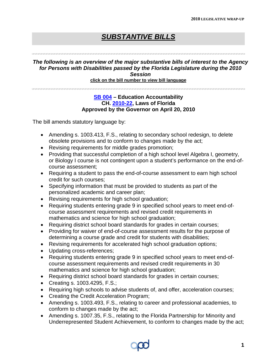### *SUBSTANTIVE BILLS*

### <span id="page-2-0"></span>*The following is an overview of the major substantive bills of interest to the Agency for Persons with Disabilities passed by the Florida Legislature during the 2010 Session*  **click on the bill number to view bill language**

### **[SB 004](http://flsenate.gov/data/session/2010/Senate/bills/billtext/pdf/s0004er.pdf) – Education Accountability CH. [2010-22,](http://laws.flrules.org/files/Ch_2010-022.pdf) Laws of Florida Approved by the Governor on April 20, 2010**

- Amending s. 1003.413, F.S., relating to secondary school redesign, to delete obsolete provisions and to conform to changes made by the act;
- Revising requirements for middle grades promotion;
- Providing that successful completion of a high school level Algebra I, geometry, or Biology I course is not contingent upon a student's performance on the end-ofcourse assessment;
- Requiring a student to pass the end-of-course assessment to earn high school credit for such courses;
- Specifying information that must be provided to students as part of the personalized academic and career plan;
- Revising requirements for high school graduation;
- Requiring students entering grade 9 in specified school years to meet end-ofcourse assessment requirements and revised credit requirements in mathematics and science for high school graduation;
- Requiring district school board standards for grades in certain courses;
- Providing for waiver of end-of-course assessment results for the purpose of determining a course grade and credit for students with disabilities;
- Revising requirements for accelerated high school graduation options;
- Updating cross-references;
- Requiring students entering grade 9 in specified school years to meet end-ofcourse assessment requirements and revised credit requirements in 30 mathematics and science for high school graduation;
- Requiring district school board standards for grades in certain courses;
- Creating s. 1003.4295, F.S.;
- Requiring high schools to advise students of, and offer, acceleration courses;
- Creating the Credit Acceleration Program;
- Amending s. 1003.493, F.S., relating to career and professional academies, to conform to changes made by the act;
- Amending s. 1007.35, F.S., relating to the Florida Partnership for Minority and Underrepresented Student Achievement, to conform to changes made by the act;

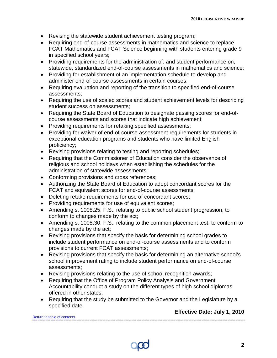- Revising the statewide student achievement testing program;
- Requiring end-of-course assessments in mathematics and science to replace FCAT Mathematics and FCAT Science beginning with students entering grade 9 in specified school years;
- Providing requirements for the administration of, and student performance on, statewide, standardized end-of-course assessments in mathematics and science;
- Providing for establishment of an implementation schedule to develop and administer end-of-course assessments in certain courses;
- Requiring evaluation and reporting of the transition to specified end-of-course assessments;
- Requiring the use of scaled scores and student achievement levels for describing student success on assessments;
- Requiring the State Board of Education to designate passing scores for end-ofcourse assessments and scores that indicate high achievement;
- Providing requirements for retaking specified assessments;
- Providing for waiver of end-of-course assessment requirements for students in exceptional education programs and students who have limited English proficiency;
- Revising provisions relating to testing and reporting schedules;
- Requiring that the Commissioner of Education consider the observance of religious and school holidays when establishing the schedules for the administration of statewide assessments;
- Conforming provisions and cross references;
- Authorizing the State Board of Education to adopt concordant scores for the FCAT and equivalent scores for end-of-course assessments;
- Deleting retake requirements for use of concordant scores;
- Providing requirements for use of equivalent scores;
- Amending s. 1008.25, F.S., relating to public school student progression, to conform to changes made by the act;
- Amending s. 1008.30, F.S., relating to the common placement test, to conform to changes made by the act;
- Revising provisions that specify the basis for determining school grades to include student performance on end-of-course assessments and to conform provisions to current FCAT assessments;
- Revising provisions that specify the basis for determining an alternative school's school improvement rating to include student performance on end-of-course assessments;
- Revising provisions relating to the use of school recognition awards;
- Requiring that the Office of Program Policy Analysis and Government Accountability conduct a study on the different types of high school diplomas offered in other states;
- Requiring that the study be submitted to the Governor and the Legislature by a specified date.

**Effective Date: July 1, 2010**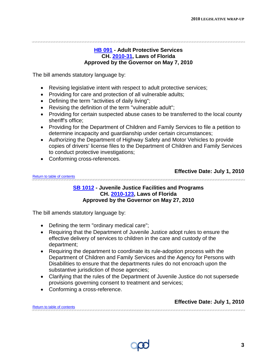<span id="page-4-0"></span>

### **[HB 091](http://flhouse.gov/Sections/Documents/loaddoc.aspx?FileName=_h0091er.docx&DocumentType=Bill&BillNumber=0091&Session=2010) - Adult Protective Services CH. [2010-31,](http://laws.flrules.org/2010/31) Laws of Florida Approved by the Governor on May 7, 2010**

The bill amends statutory language by:

- Revising legislative intent with respect to adult protective services;
- Providing for care and protection of all vulnerable adults;
- Defining the term "activities of daily living";
- Revising the definition of the term "vulnerable adult";
- Providing for certain suspected abuse cases to be transferred to the local county sheriff's office;
- Providing for the Department of Children and Family Services to file a petition to determine incapacity and guardianship under certain circumstances;
- Authorizing the Department of Highway Safety and Motor Vehicles to provide copies of drivers' license files to the Department of Children and Family Services to conduct protective investigations;
- Conforming cross-references.

**Effective Date: July 1, 2010**

<span id="page-4-1"></span>[Return to table of contents](#page-1-1)

### **[SB 1012](http://flsenate.gov/data/session/2010/Senate/bills/billtext/pdf/s1012er.pdf) - Juvenile Justice Facilities and Programs CH. [2010-123,](http://laws.flrules.org/2010/123) Laws of Florida Approved by the Governor on May 27, 2010**

The bill amends statutory language by:

- Defining the term "ordinary medical care";
- Requiring that the Department of Juvenile Justice adopt rules to ensure the effective delivery of services to children in the care and custody of the department;
- Requiring the department to coordinate its rule-adoption process with the Department of Children and Family Services and the Agency for Persons with Disabilities to ensure that the departments rules do not encroach upon the substantive jurisdiction of those agencies;
- Clarifying that the rules of the Department of Juvenile Justice do not supersede provisions governing consent to treatment and services;
- Conforming a cross-reference.

**Effective Date: July 1, 2010**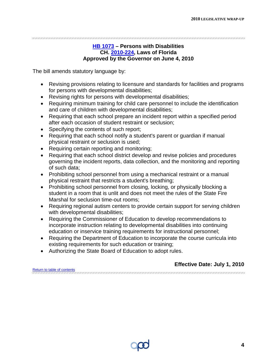<span id="page-5-0"></span>

### **[HB 1073](http://flhouse.gov/Sections/Documents/loaddoc.aspx?FileName=_h1073er.docx&DocumentType=Bill&BillNumber=1073&Session=2010) – Persons with Disabilities CH. [2010-224,](http://laws.flrules.org/2010/224) Laws of Florida Approved by the Governor on June 4, 2010**

The bill amends statutory language by:

- Revising provisions relating to licensure and standards for facilities and programs for persons with developmental disabilities;
- Revising rights for persons with developmental disabilities;
- Requiring minimum training for child care personnel to include the identification and care of children with developmental disabilities;
- Requiring that each school prepare an incident report within a specified period after each occasion of student restraint or seclusion;
- Specifying the contents of such report;
- Requiring that each school notify a student's parent or guardian if manual physical restraint or seclusion is used;
- Requiring certain reporting and monitoring;
- Requiring that each school district develop and revise policies and procedures governing the incident reports, data collection, and the monitoring and reporting of such data;
- Prohibiting school personnel from using a mechanical restraint or a manual physical restraint that restricts a student's breathing;
- Prohibiting school personnel from closing, locking, or physically blocking a student in a room that is unlit and does not meet the rules of the State Fire Marshal for seclusion time-out rooms;
- Requiring regional autism centers to provide certain support for serving children with developmental disabilities;
- Requiring the Commissioner of Education to develop recommendations to incorporate instruction relating to developmental disabilities into continuing education or inservice training requirements for instructional personnel;
- Requiring the Department of Education to incorporate the course curricula into existing requirements for such education or training;
- Authorizing the State Board of Education to adopt rules.

### **Effective Date: July 1, 2010**

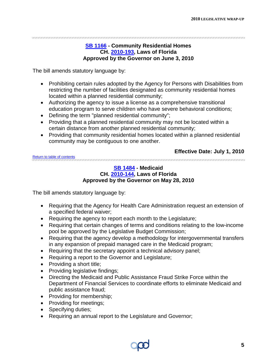<span id="page-6-0"></span>

### **[SB 1166](http://flsenate.gov/data/session/2010/Senate/bills/billtext/pdf/s1166er.pdf) - Community Residential Homes CH. [2010-193,](http://laws.flrules.org/2010/193) Laws of Florida Approved by the Governor on June 3, 2010**

The bill amends statutory language by:

- Prohibiting certain rules adopted by the Agency for Persons with Disabilities from restricting the number of facilities designated as community residential homes located within a planned residential community;
- Authorizing the agency to issue a license as a comprehensive transitional education program to serve children who have severe behavioral conditions;
- Defining the term "planned residential community";
- Providing that a planned residential community may not be located within a certain distance from another planned residential community;
- Providing that community residential homes located within a planned residential community may be contiguous to one another.

<span id="page-6-1"></span>[Return to table of contents](#page-1-1)

### **Effective Date: July 1, 2010**

**[SB 1484](http://flsenate.gov/data/session/2010/Senate/bills/billtext/pdf/s1484er.pdf) - Medicaid CH. [2010-144,](http://laws.flrules.org/2010/144) Laws of Florida Approved by the Governor on May 28, 2010**

- Requiring that the Agency for Health Care Administration request an extension of a specified federal waiver;
- Requiring the agency to report each month to the Legislature;
- Requiring that certain changes of terms and conditions relating to the low-income pool be approved by the Legislative Budget Commission;
- Requiring that the agency develop a methodology for intergovernmental transfers in any expansion of prepaid managed care in the Medicaid program;
- Requiring that the secretary appoint a technical advisory panel;
- Requiring a report to the Governor and Legislature;
- Providing a short title;
- Providing legislative findings;
- Directing the Medicaid and Public Assistance Fraud Strike Force within the Department of Financial Services to coordinate efforts to eliminate Medicaid and public assistance fraud;
- Providing for membership;
- Providing for meetings;
- Specifying duties;
- Requiring an annual report to the Legislature and Governor;

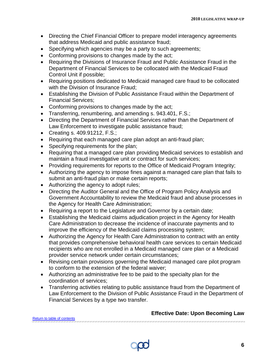- Directing the Chief Financial Officer to prepare model interagency agreements that address Medicaid and public assistance fraud;
- Specifying which agencies may be a party to such agreements;
- Conforming provisions to changes made by the act;
- Requiring the Divisions of Insurance Fraud and Public Assistance Fraud in the Department of Financial Services to be collocated with the Medicaid Fraud Control Unit if possible;
- Requiring positions dedicated to Medicaid managed care fraud to be collocated with the Division of Insurance Fraud:
- Establishing the Division of Public Assistance Fraud within the Department of Financial Services;
- Conforming provisions to changes made by the act;
- Transferring, renumbering, and amending s. 943.401, F.S.;
- Directing the Department of Financial Services rather than the Department of Law Enforcement to investigate public assistance fraud;
- Creating s. 409.91212, F.S.;
- Requiring that each managed care plan adopt an anti-fraud plan;
- Specifying requirements for the plan;
- Requiring that a managed care plan providing Medicaid services to establish and maintain a fraud investigative unit or contract for such services;
- Providing requirements for reports to the Office of Medicaid Program Integrity;
- Authorizing the agency to impose fines against a managed care plan that fails to submit an anti-fraud plan or make certain reports;
- Authorizing the agency to adopt rules;
- Directing the Auditor General and the Office of Program Policy Analysis and Government Accountability to review the Medicaid fraud and abuse processes in the Agency for Health Care Administration;
- Requiring a report to the Legislature and Governor by a certain date;
- Establishing the Medicaid claims adjudication project in the Agency for Health Care Administration to decrease the incidence of inaccurate payments and to improve the efficiency of the Medicaid claims processing system;
- Authorizing the Agency for Health Care Administration to contract with an entity that provides comprehensive behavioral health care services to certain Medicaid recipients who are not enrolled in a Medicaid managed care plan or a Medicaid provider service network under certain circumstances;
- Revising certain provisions governing the Medicaid managed care pilot program to conform to the extension of the federal waiver;
- Authorizing an administrative fee to be paid to the specialty plan for the coordination of services;
- Transferring activities relating to public assistance fraud from the Department of Law Enforcement to the Division of Public Assistance Fraud in the Department of Financial Services by a type two transfer.

**Effective Date: Upon Becoming Law**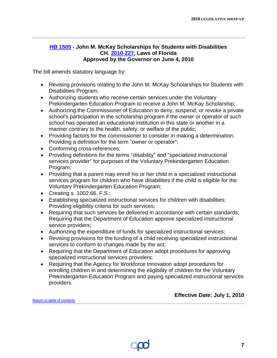<span id="page-8-0"></span>

### **[HB 1505](http://flhouse.gov/Sections/Documents/loaddoc.aspx?FileName=_h1505er.docx&DocumentType=Bill&BillNumber=1505&Session=2010) - John M. McKay Scholarships for Students with Disabilities CH. [2010-227,](http://laws.flrules.org/2010/227) Laws of Florida Approved by the Governor on June 4, 2010**

The bill amends statutory language by:

- Revising provisions relating to the John M. McKay Scholarships for Students with Disabilities Program;
- Authorizing students who receive certain services under the Voluntary Prekindergarten Education Program to receive a John M. McKay Scholarship;
- Authorizing the Commissioner of Education to deny, suspend, or revoke a private school's participation in the scholarship program if the owner or operator of such school has operated an educational institution in this state or another in a manner contrary to the health, safety, or welfare of the public;
- Providing factors for the commissioner to consider in making a determination; Providing a definition for the term "owner or operator";
- Conforming cross-references;
- Providing definitions for the terms "disability" and "specialized instructional services provider" for purposes of the Voluntary Prekindergarten Education Program;
- Providing that a parent may enroll his or her child in a specialized instructional services program for children who have disabilities if the child is eligible for the Voluntary Prekindergarten Education Program;
- Creating s. 1002.66, F.S.;
- Establishing specialized instructional services for children with disabilities; Providing eligibility criteria for such services;
- Requiring that such services be delivered in accordance with certain standards; Requiring that the Department of Education approve specialized instructional service providers;
- Authorizing the expenditure of funds for specialized instructional services;
- Revising provisions for the funding of a child receiving specialized instructional services to conform to changes made by the act;
- Requiring that the Department of Education adopt procedures for approving specialized instructional services providers;
- Requiring that the Agency for Workforce Innovation adopt procedures for enrolling children in and determining the eligibility of children for the Voluntary Prekindergarten Education Program and paying specialized instructional services providers.

|                             | <b>LUCCUVC DAIG. JULY 1, ZUTU</b> |  |
|-----------------------------|-----------------------------------|--|
| Return to table of contents |                                   |  |



**Effective Date: July 1, 2010**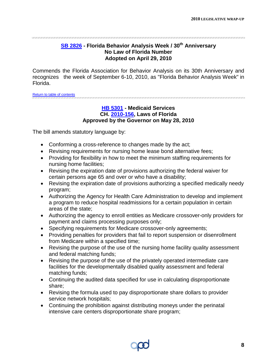### **[SB 2826](http://flsenate.gov/data/session/2010/Senate/bills/billtext/pdf/s2826.pdf) - Florida Behavior Analysis Week / 30th Anniversary No Law of Florida Number Adopted on April 29, 2010**

<span id="page-9-0"></span>Commends the Florida Association for Behavior Analysis on its 30th Anniversary and recognizes the week of September 6-10, 2010, as "Florida Behavior Analysis Week" in Florida.

<span id="page-9-1"></span>[Return to table of contents](#page-1-1)

### **[HB 5301](http://flhouse.gov/Sections/Documents/loaddoc.aspx?FileName=_h5301er.docx&DocumentType=Bill&BillNumber=5301&Session=2010) - Medicaid Services CH. [2010-156,](http://laws.flrules.org/2010/156) Laws of Florida Approved by the Governor on May 28, 2010**

- Conforming a cross-reference to changes made by the act;
- Revising requirements for nursing home lease bond alternative fees;
- Providing for flexibility in how to meet the minimum staffing requirements for nursing home facilities;
- Revising the expiration date of provisions authorizing the federal waiver for certain persons age 65 and over or who have a disability;
- Revising the expiration date of provisions authorizing a specified medically needy program;
- Authorizing the Agency for Health Care Administration to develop and implement a program to reduce hospital readmissions for a certain population in certain areas of the state;
- Authorizing the agency to enroll entities as Medicare crossover-only providers for payment and claims processing purposes only;
- Specifying requirements for Medicare crossover-only agreements;
- Providing penalties for providers that fail to report suspension or disenrollment from Medicare within a specified time;
- Revising the purpose of the use of the nursing home facility quality assessment and federal matching funds;
- Revising the purpose of the use of the privately operated intermediate care facilities for the developmentally disabled quality assessment and federal matching funds;
- Continuing the audited data specified for use in calculating disproportionate share;
- Revising the formula used to pay disproportionate share dollars to provider service network hospitals;
- Continuing the prohibition against distributing moneys under the perinatal intensive care centers disproportionate share program;

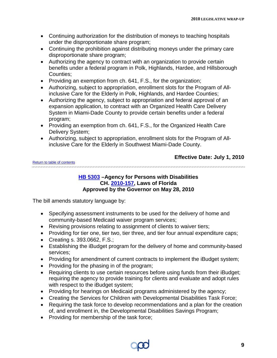- Continuing authorization for the distribution of moneys to teaching hospitals under the disproportionate share program;
- Continuing the prohibition against distributing moneys under the primary care disproportionate share program;
- Authorizing the agency to contract with an organization to provide certain benefits under a federal program in Polk, Highlands, Hardee, and Hillsborough Counties;
- Providing an exemption from ch. 641, F.S., for the organization;
- Authorizing, subject to appropriation, enrollment slots for the Program of Allinclusive Care for the Elderly in Polk, Highlands, and Hardee Counties;
- Authorizing the agency, subject to appropriation and federal approval of an expansion application, to contract with an Organized Health Care Delivery System in Miami-Dade County to provide certain benefits under a federal program;
- Providing an exemption from ch. 641, F.S., for the Organized Health Care Delivery System;
- Authorizing, subject to appropriation, enrollment slots for the Program of Allinclusive Care for the Elderly in Southwest Miami-Dade County.

#### [Return to table of contents](#page-1-1)

### **Effective Date: July 1, 2010**

<span id="page-10-0"></span>

### **[HB 5303](http://flhouse.gov/Sections/Documents/loaddoc.aspx?FileName=_h5303er.docx&DocumentType=Bill&BillNumber=5303&Session=2010) –Agency for Persons with Disabilities CH. [2010-157,](http://laws.flrules.org/2010/157) Laws of Florida Approved by the Governor on May 28, 2010**

- Specifying assessment instruments to be used for the delivery of home and community-based Medicaid waiver program services;
- Revising provisions relating to assignment of clients to waiver tiers;
- Providing for tier one, tier two, tier three, and tier four annual expenditure caps;
- Creating s. 393.0662, F.S.;
- Establishing the iBudget program for the delivery of home and community-based services;
- Providing for amendment of current contracts to implement the iBudget system;
- Providing for the phasing in of the program;
- Requiring clients to use certain resources before using funds from their iBudget; requiring the agency to provide training for clients and evaluate and adopt rules with respect to the iBudget system;
- Providing for hearings on Medicaid programs administered by the agency;
- Creating the Services for Children with Developmental Disabilities Task Force;
- Requiring the task force to develop recommendations and a plan for the creation of, and enrollment in, the Developmental Disabilities Savings Program;
- Providing for membership of the task force;

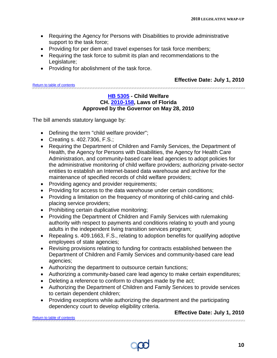- Requiring the Agency for Persons with Disabilities to provide administrative support to the task force;
- Providing for per diem and travel expenses for task force members;
- Requiring the task force to submit its plan and recommendations to the Legislature;
- Providing for abolishment of the task force.

### **Effective Date: July 1, 2010**

<span id="page-11-0"></span>[Return to table of contents](#page-1-0)

### **[HB 5305](http://flhouse.gov/Sections/Documents/loaddoc.aspx?FileName=_h5305er.docx&DocumentType=Bill&BillNumber=5305&Session=2010) - Child Welfare CH. [2010-158,](http://laws.flrules.org/2010/158) Laws of Florida Approved by the Governor on May 28, 2010**

The bill amends statutory language by:

- Defining the term "child welfare provider";
- Creating s. 402.7306, F.S.;
- Requiring the Department of Children and Family Services, the Department of Health, the Agency for Persons with Disabilities, the Agency for Health Care Administration, and community-based care lead agencies to adopt policies for the administrative monitoring of child welfare providers; authorizing private-sector entities to establish an Internet-based data warehouse and archive for the maintenance of specified records of child welfare providers;
- Providing agency and provider requirements;
- Providing for access to the data warehouse under certain conditions;
- Providing a limitation on the frequency of monitoring of child-caring and childplacing service providers;
- Prohibiting certain duplicative monitoring;
- Providing the Department of Children and Family Services with rulemaking authority with respect to payments and conditions relating to youth and young adults in the independent living transition services program;
- Repealing s. 409.1663, F.S., relating to adoption benefits for qualifying adoptive employees of state agencies;
- Revising provisions relating to funding for contracts established between the Department of Children and Family Services and community-based care lead agencies;
- Authorizing the department to outsource certain functions;
- Authorizing a community-based care lead agency to make certain expenditures;
- Deleting a reference to conform to changes made by the act;
- Authorizing the Department of Children and Family Services to provide services to certain dependent children;
- Providing exceptions while authorizing the department and the participating dependency court to develop eligibility criteria.

<span id="page-11-1"></span>[Return to table of contents](#page-1-1)

### **Effective Date: July 1, 2010**

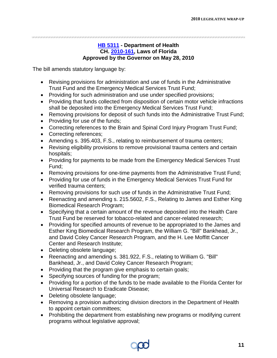### **[HB 5311](http://flhouse.gov/Sections/Documents/loaddoc.aspx?FileName=_h5311er.docx&DocumentType=Bill&BillNumber=5311&Session=2010) - Department of Health CH. [2010-161,](http://laws.flrules.org/2010/161) Laws of Florida Approved by the Governor on May 28, 2010**

- Revising provisions for administration and use of funds in the Administrative Trust Fund and the Emergency Medical Services Trust Fund;
- Providing for such administration and use under specified provisions;
- Providing that funds collected from disposition of certain motor vehicle infractions shall be deposited into the Emergency Medical Services Trust Fund;
- Removing provisions for deposit of such funds into the Administrative Trust Fund;
- Providing for use of the funds;
- Correcting references to the Brain and Spinal Cord Injury Program Trust Fund;
- Correcting references;
- Amending s. 395.403, F.S., relating to reimbursement of trauma centers;
- Revising eligibility provisions to remove provisional trauma centers and certain hospitals;
- Providing for payments to be made from the Emergency Medical Services Trust Fund;
- Removing provisions for one-time payments from the Administrative Trust Fund;
- Providing for use of funds in the Emergency Medical Services Trust Fund for verified trauma centers;
- Removing provisions for such use of funds in the Administrative Trust Fund;
- Reenacting and amending s. 215.5602, F.S., Relating to James and Esther King Biomedical Research Program;
- Specifying that a certain amount of the revenue deposited into the Health Care Trust Fund be reserved for tobacco-related and cancer-related research;
- Providing for specified amounts of revenue to be appropriated to the James and Esther King Biomedical Research Program, the William G. "Bill" Bankhead, Jr., and David Coley Cancer Research Program, and the H. Lee Moffitt Cancer Center and Research Institute;
- Deleting obsolete language;
- Reenacting and amending s. 381.922, F.S., relating to William G. "Bill" Bankhead, Jr., and David Coley Cancer Research Program;
- Providing that the program give emphasis to certain goals;
- Specifying sources of funding for the program;
- Providing for a portion of the funds to be made available to the Florida Center for Universal Research to Eradicate Disease;
- Deleting obsolete language;
- Removing a provision authorizing division directors in the Department of Health to appoint certain committees;
- Prohibiting the department from establishing new programs or modifying current programs without legislative approval;

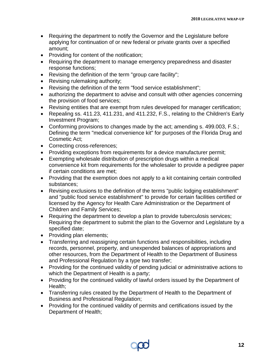- Requiring the department to notify the Governor and the Legislature before applying for continuation of or new federal or private grants over a specified amount;
- Providing for content of the notification;
- Requiring the department to manage emergency preparedness and disaster response functions;
- Revising the definition of the term "group care facility";
- Revising rulemaking authority;
- Revising the definition of the term "food service establishment";
- authorizing the department to advise and consult with other agencies concerning the provision of food services;
- Revising entities that are exempt from rules developed for manager certification;
- Repealing ss. 411.23, 411.231, and 411.232, F.S., relating to the Children's Early Investment Program;
- Conforming provisions to changes made by the act; amending s. 499.003, F.S.; Defining the term "medical convenience kit" for purposes of the Florida Drug and Cosmetic Act;
- Correcting cross-references;
- Providing exceptions from requirements for a device manufacturer permit;
- Exempting wholesale distribution of prescription drugs within a medical convenience kit from requirements for the wholesaler to provide a pedigree paper if certain conditions are met;
- Providing that the exemption does not apply to a kit containing certain controlled substances;
- Revising exclusions to the definition of the terms "public lodging establishment" and "public food service establishment" to provide for certain facilities certified or licensed by the Agency for Health Care Administration or the Department of Children and Family Services;
- Requiring the department to develop a plan to provide tuberculosis services; Requiring the department to submit the plan to the Governor and Legislature by a specified date;
- Providing plan elements;
- Transferring and reassigning certain functions and responsibilities, including records, personnel, property, and unexpended balances of appropriations and other resources, from the Department of Health to the Department of Business and Professional Regulation by a type two transfer;
- Providing for the continued validity of pending judicial or administrative actions to which the Department of Health is a party;
- Providing for the continued validity of lawful orders issued by the Department of Health;
- Transferring rules created by the Department of Health to the Department of Business and Professional Regulation;
- Providing for the continued validity of permits and certifications issued by the Department of Health;

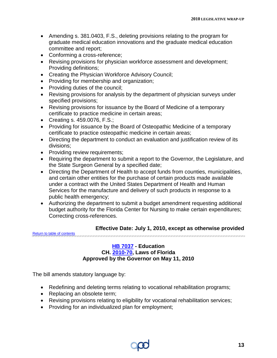- Amending s. 381.0403, F.S., deleting provisions relating to the program for graduate medical education innovations and the graduate medical education committee and report;
- Conforming a cross-reference;
- Revising provisions for physician workforce assessment and development; Providing definitions;
- Creating the Physician Workforce Advisory Council;
- Providing for membership and organization;
- Providing duties of the council;
- Revising provisions for analysis by the department of physician surveys under specified provisions;
- Revising provisions for issuance by the Board of Medicine of a temporary certificate to practice medicine in certain areas;
- Creating s. 459.0076, F.S.;
- Providing for issuance by the Board of Osteopathic Medicine of a temporary certificate to practice osteopathic medicine in certain areas;
- Directing the department to conduct an evaluation and justification review of its divisions;
- Providing review requirements;
- Requiring the department to submit a report to the Governor, the Legislature, and the State Surgeon General by a specified date;
- Directing the Department of Health to accept funds from counties, municipalities, and certain other entities for the purchase of certain products made available under a contract with the United States Department of Health and Human Services for the manufacture and delivery of such products in response to a public health emergency;
- Authorizing the department to submit a budget amendment requesting additional budget authority for the Florida Center for Nursing to make certain expenditures; Correcting cross-references.

### **Effective Date: July 1, 2010, except as otherwise provided**

<span id="page-14-0"></span>[Return to table of contents](#page-1-1)

### **[HB 7037](http://flhouse.gov/Sections/Documents/loaddoc.aspx?FileName=_h7037er.docx&DocumentType=Bill&BillNumber=7037&Session=2010) - Education CH. [2010-70,](http://laws.flrules.org/2010/70) Laws of Florida Approved by the Governor on May 11, 2010**

- Redefining and deleting terms relating to vocational rehabilitation programs;
- Replacing an obsolete term;
- Revising provisions relating to eligibility for vocational rehabilitation services;
- Providing for an individualized plan for employment;

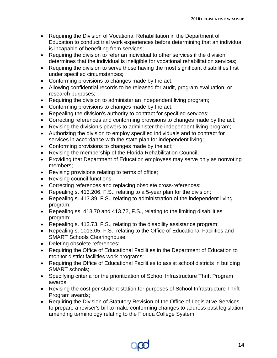- Requiring the Division of Vocational Rehabilitation in the Department of Education to conduct trial work experiences before determining that an individual is incapable of benefiting from services;
- Requiring the division to refer an individual to other services if the division determines that the individual is ineligible for vocational rehabilitation services;
- Requiring the division to serve those having the most significant disabilities first under specified circumstances;
- Conforming provisions to changes made by the act;
- Allowing confidential records to be released for audit, program evaluation, or research purposes;
- Requiring the division to administer an independent living program;
- Conforming provisions to changes made by the act;
- Repealing the division's authority to contract for specified services;
- Correcting references and conforming provisions to changes made by the act;
- Revising the division's powers to administer the independent living program;
- Authorizing the division to employ specified individuals and to contract for services in accordance with the state plan for independent living;
- Conforming provisions to changes made by the act;
- Revising the membership of the Florida Rehabilitation Council;
- Providing that Department of Education employees may serve only as nonvoting members;
- Revising provisions relating to terms of office;
- Revising council functions;
- Correcting references and replacing obsolete cross-references;
- Repealing s. 413.206, F.S., relating to a 5-year plan for the division;
- Repealing s. 413.39, F.S., relating to administration of the independent living program;
- Repealing ss. 413.70 and 413.72, F.S., relating to the limiting disabilities program;
- Repealing s. 413.73, F.S., relating to the disability assistance program;
- Repealing s. 1013.05, F.S., relating to the Office of Educational Facilities and SMART Schools Clearinghouse;
- Deleting obsolete references;
- Requiring the Office of Educational Facilities in the Department of Education to monitor district facilities work programs;
- Requiring the Office of Educational Facilities to assist school districts in building SMART schools;
- Specifying criteria for the prioritization of School Infrastructure Thrift Program awards;
- Revising the cost per student station for purposes of School Infrastructure Thrift Program awards;
- Requiring the Division of Statutory Revision of the Office of Legislative Services to prepare a reviser's bill to make conforming changes to address past legislation amending terminology relating to the Florida College System;

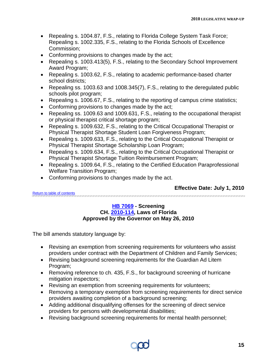- Repealing s. 1004.87, F.S., relating to Florida College System Task Force; Repealing s. 1002.335, F.S., relating to the Florida Schools of Excellence Commission;
- Conforming provisions to changes made by the act;
- Repealing s. 1003.413(5), F.S., relating to the Secondary School Improvement Award Program;
- Repealing s. 1003.62, F.S., relating to academic performance-based charter school districts;
- Repealing ss. 1003.63 and 1008.345(7), F.S., relating to the deregulated public schools pilot program;
- Repealing s. 1006.67, F.S., relating to the reporting of campus crime statistics;
- Conforming provisions to changes made by the act;
- Repealing ss. 1009.63 and 1009.631, F.S., relating to the occupational therapist or physical therapist critical shortage program;
- Repealing s. 1009.632, F.S., relating to the Critical Occupational Therapist or Physical Therapist Shortage Student Loan Forgiveness Program;
- Repealing s. 1009.633, F.S., relating to the Critical Occupational Therapist or Physical Therapist Shortage Scholarship Loan Program;
- Repealing s. 1009.634, F.S., relating to the Critical Occupational Therapist or Physical Therapist Shortage Tuition Reimbursement Program;
- Repealing s. 1009.64, F.S., relating to the Certified Education Paraprofessional Welfare Transition Program;
- Conforming provisions to changes made by the act.

### **Effective Date: July 1, 2010**

<span id="page-16-0"></span>[Return to table of contents](#page-1-1)

### **[HB 7069](http://flhouse.gov/Sections/Documents/loaddoc.aspx?FileName=_h7069er.docx&DocumentType=Bill&BillNumber=7069&Session=2010) - Screening CH. [2010-114,](http://laws.flrules.org/2010/114) Laws of Florida Approved by the Governor on May 26, 2010**

- Revising an exemption from screening requirements for volunteers who assist providers under contract with the Department of Children and Family Services;
- Revising background screening requirements for the Guardian Ad Litem Program;
- Removing reference to ch. 435, F.S., for background screening of hurricane mitigation inspectors;
- Revising an exemption from screening requirements for volunteers;
- Removing a temporary exemption from screening requirements for direct service providers awaiting completion of a background screening;
- Adding additional disqualifying offenses for the screening of direct service providers for persons with developmental disabilities;
- Revising background screening requirements for mental health personnel;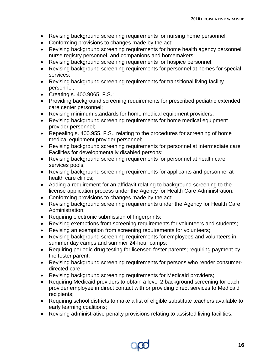- Revising background screening requirements for nursing home personnel;
- Conforming provisions to changes made by the act;
- Revising background screening requirements for home health agency personnel, nurse registry personnel, and companions and homemakers;
- Revising background screening requirements for hospice personnel;
- Revising background screening requirements for personnel at homes for special services;
- Revising background screening requirements for transitional living facility personnel;
- Creating s. 400.9065, F.S.;
- Providing background screening requirements for prescribed pediatric extended care center personnel;
- Revising minimum standards for home medical equipment providers;
- Revising background screening requirements for home medical equipment provider personnel;
- Repealing s. 400.955, F.S., relating to the procedures for screening of home medical equipment provider personnel;
- Revising background screening requirements for personnel at intermediate care Facilities for developmentally disabled persons;
- Revising background screening requirements for personnel at health care services pools;
- Revising background screening requirements for applicants and personnel at health care clinics;
- Adding a requirement for an affidavit relating to background screening to the license application process under the Agency for Health Care Administration;
- Conforming provisions to changes made by the act;
- Revising background screening requirements under the Agency for Health Care Administration;
- Requiring electronic submission of fingerprints;
- Revising exemptions from screening requirements for volunteers and students;
- Revising an exemption from screening requirements for volunteers;
- Revising background screening requirements for employees and volunteers in summer day camps and summer 24-hour camps;
- Requiring periodic drug testing for licensed foster parents; requiring payment by the foster parent;
- Revising background screening requirements for persons who render consumerdirected care;
- Revising background screening requirements for Medicaid providers;
- Requiring Medicaid providers to obtain a level 2 background screening for each provider employee in direct contact with or providing direct services to Medicaid recipients;
- Requiring school districts to make a list of eligible substitute teachers available to early learning coalitions;
- Revising administrative penalty provisions relating to assisted living facilities;

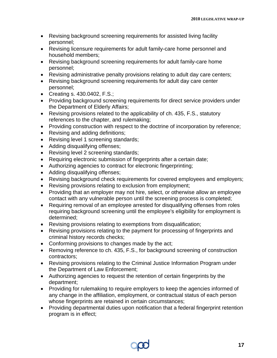- Revising background screening requirements for assisted living facility personnel;
- Revising licensure requirements for adult family-care home personnel and household members;
- Revising background screening requirements for adult family-care home personnel;
- Revising administrative penalty provisions relating to adult day care centers;
- Revising background screening requirements for adult day care center personnel;
- Creating s. 430.0402, F.S.;
- Providing background screening requirements for direct service providers under the Department of Elderly Affairs;
- Revising provisions related to the applicability of ch. 435, F.S., statutory references to the chapter, and rulemaking;
- Providing construction with respect to the doctrine of incorporation by reference;
- Revising and adding definitions;
- Revising level 1 screening standards;
- Adding disqualifying offenses;
- Revising level 2 screening standards;
- Requiring electronic submission of fingerprints after a certain date;
- Authorizing agencies to contract for electronic fingerprinting;
- Adding disqualifying offenses;
- Revising background check requirements for covered employees and employers;
- Revising provisions relating to exclusion from employment;
- Providing that an employer may not hire, select, or otherwise allow an employee contact with any vulnerable person until the screening process is completed;
- Requiring removal of an employee arrested for disqualifying offenses from roles requiring background screening until the employee's eligibility for employment is determined;
- Revising provisions relating to exemptions from disqualification;
- Revising provisions relating to the payment for processing of fingerprints and criminal history records checks;
- Conforming provisions to changes made by the act;
- Removing reference to ch. 435, F.S., for background screening of construction contractors;
- Revising provisions relating to the Criminal Justice Information Program under the Department of Law Enforcement;
- Authorizing agencies to request the retention of certain fingerprints by the department;
- Providing for rulemaking to require employers to keep the agencies informed of any change in the affiliation, employment, or contractual status of each person whose fingerprints are retained in certain circumstances;
- Providing departmental duties upon notification that a federal fingerprint retention program is in effect;

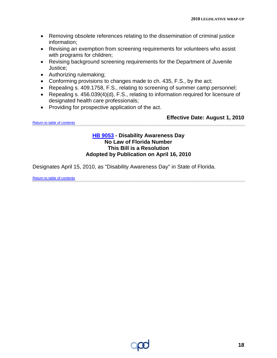- Removing obsolete references relating to the dissemination of criminal justice information;
- Revising an exemption from screening requirements for volunteers who assist with programs for children;
- Revising background screening requirements for the Department of Juvenile Justice;
- Authorizing rulemaking;
- Conforming provisions to changes made to ch. 435, F.S., by the act;
- Repealing s. 409.1758, F.S., relating to screening of summer camp personnel;
- Repealing s. 456.039(4)(d), F.S., relating to information required for licensure of designated health care professionals;
- Providing for prospective application of the act.

<span id="page-19-0"></span>[Return to table of contents](#page-1-1)

### **Effective Date: August 1, 2010**

### **[HB 9053](http://flhouse.gov/Sections/Documents/loaddoc.aspx?FileName=_h9053__.docx&DocumentType=Bill&BillNumber=9053&Session=2010) - Disability Awareness Day No Law of Florida Number This Bill is a Resolution Adopted by Publication on April 16, 2010**

Designates April 15, 2010, as "Disability Awareness Day" in State of Florida.

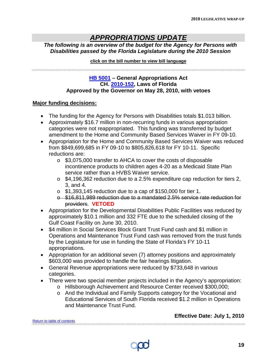### *APPROPRIATIONS UPDATE*

*The following is an overview of the budget for the Agency for Persons with Disabilities passed by the Florida Legislature during the 2010 Session*

### **click on the bill number to view bill language**

<span id="page-20-0"></span>

### **[HB 5001](http://flhouse.gov/Sections/Documents/loaddoc.aspx?FileName=_h5001er.docx&DocumentType=Bill&BillNumber=5001&Session=2010) – General Appropriations Act CH. [2010-152,](http://laws.flrules.org/2010/152) Laws of Florida Approved by the Governor on May 28, 2010, with vetoes**

### **Major funding decisions:**

- The funding for the Agency for Persons with Disabilities totals \$1.013 billion.
- Approximately \$16.7 million in non-recurring funds in various appropriation categories were not reappropriated. This funding was transferred by budget amendment to the Home and Community Based Services Waiver in FY 09-10.
- Appropriation for the Home and Community Based Services Waiver was reduced from \$849,699,685 in FY 09-10 to \$805,826,618 for FY 10-11. Specific reductions are:
	- o \$3,075,000 transfer to AHCA to cover the costs of disposable incontinence products to children ages 4-20 as a Medicaid State Plan service rather than a HVBS Waiver service.
	- o \$4,196,362 reduction due to a 2.5% expenditure cap reduction for tiers 2, 3, and 4.
	- o \$1,393,145 reduction due to a cap of \$150,000 for tier 1.
	- o \$16,811,989 reduction due to a mandated 2.5% service rate reduction for providers. **VETOED**
- Appropriation for the Developmental Disabilities Public Facilities was reduced by approximately \$10.1 million and 332 FTE due to the scheduled closing of the Gulf Coast Facility on June 30, 2010.
- \$4 million in Social Services Block Grant Trust Fund cash and \$1 million in Operations and Maintenance Trust Fund cash was removed from the trust funds by the Legislature for use in funding the State of Florida's FY 10-11 appropriations.
- Appropriation for an additional seven (7) attorney positions and approximately \$603,000 was provided to handle the fair hearings litigation.
- General Revenue appropriations were reduced by \$733,648 in various categories.
- There were two special member projects included in the Agency's appropriation:
	- o Hillsborough Achievement and Resource Center received \$300,000;
	- o And the Individual and Family Supports category for the Vocational and Educational Services of South Florida received \$1.2 million in Operations and Maintenance Trust Fund.

### **Effective Date: July 1, 2010**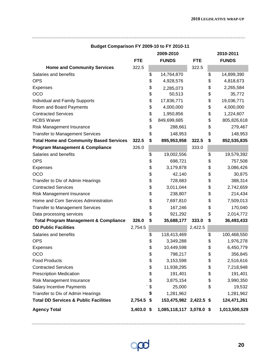|                                                  | 2009-2010    |    | 2010-2011                |            |    |               |
|--------------------------------------------------|--------------|----|--------------------------|------------|----|---------------|
|                                                  | <b>FTE</b>   |    | <b>FUNDS</b>             | <b>FTE</b> |    | <b>FUNDS</b>  |
| <b>Home and Community Services</b>               | 322.5        |    |                          | 322.5      |    |               |
| Salaries and benefits                            |              | \$ | 14,764,870               |            | \$ | 14,899,390    |
| <b>OPS</b>                                       |              | \$ | 4,928,576                |            | \$ | 4,818,673     |
| <b>Expenses</b>                                  |              | \$ | 2,285,073                |            | \$ | 2,265,584     |
| OCO                                              |              | \$ | 50,513                   |            | \$ | 35,772        |
| Individual and Family Supports                   |              | \$ | 17,836,771               |            | \$ | 19,036,771    |
| Room and Board Payments                          |              | \$ | 4,000,000                |            | \$ | 4,000,000     |
| <b>Contracted Services</b>                       |              | \$ | 1,950,856                |            | \$ | 1,224,607     |
| <b>HCBS Waiver</b>                               |              | \$ | 849,699,685              |            | \$ | 805,826,618   |
| Risk Management Insurance                        |              | \$ | 288,661                  |            | \$ | 279,467       |
| <b>Transfer to Management Services</b>           |              | \$ | 148,953                  |            | \$ | 148,953       |
| <b>Total Home and Community Based Services</b>   | 322.5        | \$ | 895,953,958              | 322.5      | \$ | 852,535,835   |
| <b>Program Management &amp; Compliance</b>       | 326.0        |    |                          | 333.0      |    |               |
| Salaries and benefits                            |              | \$ | 19,002,556               |            | \$ | 19,579,392    |
| <b>OPS</b>                                       |              | \$ | 698,721                  |            | \$ | 757,508       |
| Expenses                                         |              | \$ | 3,179,878                |            | \$ | 3,086,426     |
| OCO                                              |              | \$ | 42,140                   |            | \$ | 30,875        |
| Transfer to Div of Admin Hearings                |              | \$ | 728,683                  |            | \$ | 388,314       |
| <b>Contracted Services</b>                       |              | \$ | 3,011,044                |            | \$ | 2,742,659     |
| <b>Risk Management Insurance</b>                 |              | \$ | 238,807                  |            | \$ | 214,434       |
| Home and Com Services Administration             |              | \$ | 7,697,810                |            | \$ | 7,509,013     |
| <b>Transfer to Management Services</b>           |              | \$ | 167,246                  |            | \$ | 170,040       |
| Data processing services                         |              | \$ | 921,292                  |            | \$ | 2,014,772     |
| <b>Total Program Management &amp; Compliance</b> | 326.0        | \$ | 35,688,177               | 333.0      | \$ | 36,493,433    |
| <b>DD Public Facilities</b>                      | 2,754.5      |    |                          | 2,422.5    |    |               |
| Salaries and benefits                            |              | \$ | 118,413,469              |            | \$ | 100,468,550   |
| <b>OPS</b>                                       |              | \$ | 3,349,288                |            | \$ | 1,976,278     |
| <b>Expenses</b>                                  |              | \$ | 10,449,598               |            | \$ | 6,450,779     |
| <b>OCO</b>                                       |              | \$ | 798,217                  |            | \$ | 356,845       |
| <b>Food Products</b>                             |              | \$ | 3,153,598                |            | \$ | 2,516,616     |
| <b>Contracted Services</b>                       |              | \$ | 11,938,295               |            | \$ | 7,218,948     |
| <b>Prescription Medication</b>                   |              | \$ | 191,401                  |            | \$ | 191,401       |
| <b>Risk Management Insurance</b>                 |              | \$ | 3,875,154                |            | \$ | 3,990,350     |
| <b>Salary Incentive Payments</b>                 |              | \$ | 25,000                   |            | \$ | 19,532        |
| Transfer to Div of Admin Hearings                |              | \$ | 1,281,962                |            |    | 1,281,962     |
| <b>Total DD Services &amp; Public Facilities</b> | 2,754.5 \$   |    | 153,475,982 2,422.5 \$   |            |    | 124,471,261   |
| <b>Agency Total</b>                              | $3,403.0$ \$ |    | 1,085,118,117 3,078.0 \$ |            |    | 1,013,500,529 |

### <span id="page-21-0"></span>**Budget Comparison FY 2009-10 to FY 2010-11**

 $\infty$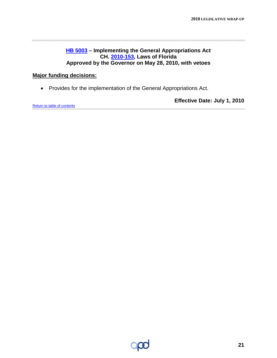### **[HB 5003](http://flhouse.gov/Sections/Documents/loaddoc.aspx?FileName=_h5003er.docx&DocumentType=Bill&BillNumber=5003&Session=2010) – Implementing the General Appropriations Act CH. [2010-153,](http://laws.flrules.org/2010/153) Laws of Florida Approved by the Governor on May 28, 2010, with vetoes**

### **Major funding decisions:**

<span id="page-22-0"></span>a mara mara mara mara

• Provides for the implementation of the General Appropriations Act.

**Effective Date: July 1, 2010** [Return to table of contents](#page-1-0)

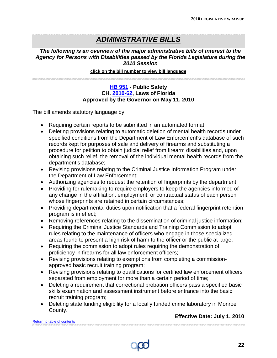### *ADMINISTRATIVE BILLS*

### *The following is an overview of the major administrative bills of interest to the Agency for Persons with Disabilities passed by the Florida Legislature during the 2010 Session*

#### **click on the bill number to view bill language**

<span id="page-23-0"></span>

### **[HB 951](http://flhouse.gov/Sections/Documents/loaddoc.aspx?FileName=_h0951er.docx&DocumentType=Bill&BillNumber=0951&Session=2010) - Public Safety CH. [2010-62,](http://laws.flrules.org/2010/62) Laws of Florida Approved by the Governor on May 11, 2010**

The bill amends statutory language by:

- Requiring certain reports to be submitted in an automated format;
- Deleting provisions relating to automatic deletion of mental health records under specified conditions from the Department of Law Enforcement's database of such records kept for purposes of sale and delivery of firearms and substituting a procedure for petition to obtain judicial relief from firearm disabilities and, upon obtaining such relief, the removal of the individual mental health records from the department's database;
- Revising provisions relating to the Criminal Justice Information Program under the Department of Law Enforcement;
- Authorizing agencies to request the retention of fingerprints by the department;
- Providing for rulemaking to require employers to keep the agencies informed of any change in the affiliation, employment, or contractual status of each person whose fingerprints are retained in certain circumstances;
- Providing departmental duties upon notification that a federal fingerprint retention program is in effect;
- Removing references relating to the dissemination of criminal justice information;
- Requiring the Criminal Justice Standards and Training Commission to adopt rules relating to the maintenance of officers who engage in those specialized areas found to present a high risk of harm to the officer or the public at large;
- Requiring the commission to adopt rules requiring the demonstration of proficiency in firearms for all law enforcement officers;
- Revising provisions relating to exemptions from completing a commissionapproved basic recruit training program;
- Revising provisions relating to qualifications for certified law enforcement officers separated from employment for more than a certain period of time;
- Deleting a requirement that correctional probation officers pass a specified basic skills examination and assessment instrument before entrance into the basic recruit training program;
- Deleting state funding eligibility for a locally funded crime laboratory in Monroe County.

### **Effective Date: July 1, 2010**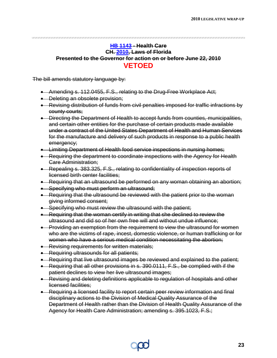### <span id="page-24-0"></span>**[HB 1143](http://flhouse.gov/Sections/Documents/loaddoc.aspx?FileName=_h1143er.docx&DocumentType=Bill&BillNumber=1143&Session=2010) - Health Care CH. [2010,](http://laws.flrules.org/node?field_list_year_nid=5225) Laws of Florida Presented to the Governor for action on or before June 22, 2010 VETOED**

- Amending s. 112.0455, F.S., relating to the Drug-Free Workplace Act;
- Deleting an obsolete provision;
- Revising distribution of funds from civil penalties imposed for traffic infractions by county courts;
- Directing the Department of Health to accept funds from counties, municipalities, and certain other entities for the purchase of certain products made available under a contract of the United States Department of Health and Human Services for the manufacture and delivery of such products in response to a public health emergency;
- Limiting Department of Health food service inspections in nursing homes;
- Requiring the department to coordinate inspections with the Agency for Health Care Administration;
- Repealing s. 383.325, F.S., relating to confidentiality of inspection reports of licensed birth center facilities;
- Requiring that an ultrasound be performed on any woman obtaining an abortion;
- Specifying who must perform an ultrasound;
- Requiring that the ultrasound be reviewed with the patient prior to the woman giving informed consent;
- Specifying who must review the ultrasound with the patient;
- Requiring that the woman certify in writing that she declined to review the ultrasound and did so of her own free will and without undue influence;
- Providing an exemption from the requirement to view the ultrasound for women who are the victims of rape, incest, domestic violence, or human trafficking or for women who have a serious medical condition necessitating the abortion;
- Revising requirements for written materials;
- Requiring ultrasounds for all patients;
- Requiring that live ultrasound images be reviewed and explained to the patient;
- Requiring that all other provisions in s. 390.0111, F.S., be complied with if the patient declines to view her live ultrasound images;
- Revising and deleting definitions applicable to regulation of hospitals and other licensed facilities;
- Requiring a licensed facility to report certain peer review information and final disciplinary actions to the Division of Medical Quality Assurance of the Department of Health rather than the Division of Health Quality Assurance of the Agency for Health Care Administration; amending s. 395.1023, F.S.;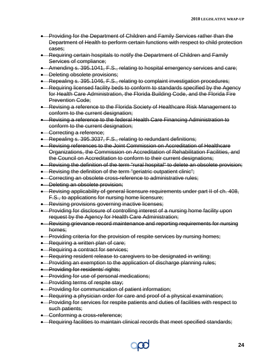- Providing for the Department of Children and Family Services rather than the Department of Health to perform certain functions with respect to child protection cases;
- Requiring certain hospitals to notify the Department of Children and Family Services of compliance;
- Amending s. 395.1041, F.S., relating to hospital emergency services and care;
- Deleting obsolete provisions;
- Repealing s. 395.1046, F.S., relating to complaint investigation procedures;
- Requiring licensed facility beds to conform to standards specified by the Agency for Health Care Administration, the Florida Building Code, and the Florida Fire Prevention Code;
- Revising a reference to the Florida Society of Healthcare Risk Management to conform to the current designation;
- Revising a reference to the federal Health Care Financing Administration to conform to the current designation;
- Correcting a reference:
- Repealing s. 395.3037, F.S., relating to redundant definitions;
- Revising references to the Joint Commission on Accreditation of Healthcare Organizations, the Commission on Accreditation of Rehabilitation Facilities, and the Council on Accreditation to conform to their current designations;
- Revising the definition of the term "rural hospital" to delete an obsolete provision;
- Revising the definition of the term "geriatric outpatient clinic";
- Correcting an obsolete cross-reference to administrative rules;
- Deleting an obsolete provision;
- Revising applicability of general licensure requirements under part II of ch. 408, F.S., to applications for nursing home licensure;
- Revising provisions governing inactive licenses;
- Providing for disclosure of controlling interest of a nursing home facility upon request by the Agency for Health Care Administration;
- Revising grievance record maintenance and reporting requirements for nursing homes;
- Providing criteria for the provision of respite services by nursing homes;
- Requiring a written plan of care;
- Requiring a contract for services;
- Requiring resident release to caregivers to be designated in writing;
- Providing an exemption to the application of discharge planning rules;
- Providing for residents' rights;
- Providing for use of personal medications;
- Providing terms of respite stay;
- Providing for communication of patient information;
- Requiring a physician order for care and proof of a physical examination;
- Providing for services for respite patients and duties of facilities with respect to such patients;
- Conforming a cross-reference;
- Requiring facilities to maintain clinical records that meet specified standards;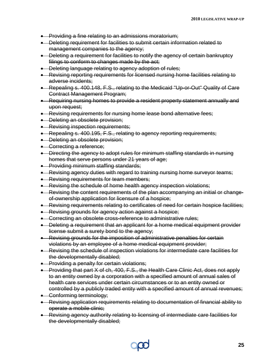- Providing a fine relating to an admissions moratorium;
- Deleting requirement for facilities to submit certain information related to management companies to the agency;
- Deleting a requirement for facilities to notify the agency of certain bankruptcy filings to conform to changes made by the act;
- Deleting language relating to agency adoption of rules;
- Revising reporting requirements for licensed nursing home facilities relating to adverse incidents;
- Repealing s. 400.148, F.S., relating to the Medicaid "Up-or-Out" Quality of Care Contract Management Program;
- Requiring nursing homes to provide a resident property statement annually and upon request;
- Revising requirements for nursing home lease bond alternative fees;
- Deleting an obsolete provision;
- Revising inspection requirements;
- Repealing s. 400.195, F.S., relating to agency reporting requirements;
- Deleting an obsolete provision;
- Correcting a reference;
- Directing the agency to adopt rules for minimum staffing standards in nursing homes that serve persons under 21 years of age;
- Providing minimum staffing standards;
- Revising agency duties with regard to training nursing home surveyor teams;
- Revising requirements for team members;
- Revising the schedule of home health agency inspection violations;
- Revising the content requirements of the plan accompanying an initial or changeof-ownership application for licensure of a hospice;
- Revising requirements relating to certificates of need for certain hospice facilities;
- Revising grounds for agency action against a hospice;
- Correcting an obsolete cross-reference to administrative rules;
- Deleting a requirement that an applicant for a home medical equipment provider license submit a surety bond to the agency;
- Revising grounds for the imposition of administrative penalties for certain violations by an employee of a home medical equipment provider;
- Revising the schedule of inspection violations for intermediate care facilities for the developmentally disabled;
- Providing a penalty for certain violations;
- Providing that part X of ch, 400, F.S., the Health Care Clinic Act, does not apply to an entity owned by a corporation with a specified amount of annual sales of health care services under certain circumstances or to an entity owned or controlled by a publicly traded entity with a specified amount of annual revenues;
- Conforming terminology;
- Revising application requirements relating to documentation of financial ability to operate a mobile clinic;
- Revising agency authority relating to licensing of intermediate care facilities for the developmentally disabled;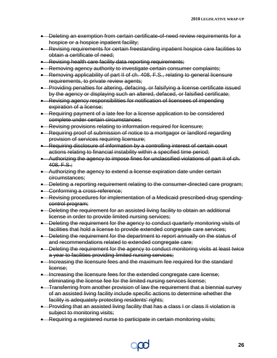- Deleting an exemption from certain certificate-of-need review requirements for a hospice or a hospice inpatient facility;
- Revising requirements for certain freestanding inpatient hospice care facilities to obtain a certificate of need;
- Revising health care facility data reporting requirements;
- Removing agency authority to investigate certain consumer complaints;
- Removing applicability of part II of ch. 408, F.S., relating to general licensure requirements, to private review agents;
- Providing penalties for altering, defacing, or falsifying a license certificate issued by the agency or displaying such an altered, defaced, or falsified certificate;
- Revising agency responsibilities for notification of licensees of impending expiration of a license;
- Requiring payment of a late fee for a license application to be considered complete under certain circumstances;
- Revising provisions relating to information required for licensure;
- Requiring proof of submission of notice to a mortgagor or landlord regarding provision of services requiring licensure;
- Requiring disclosure of information by a controlling interest of certain court actions relating to financial instability within a specified time period;
- Authorizing the agency to impose fines for unclassified violations of part II of ch.  $408, F.S.;$
- Authorizing the agency to extend a license expiration date under certain circumstances;
- Deleting a reporting requirement relating to the consumer-directed care program;
- Conforming a cross-reference;
- Revising procedures for implementation of a Medicaid prescribed-drug spendingcontrol program;
- Deleting the requirement for an assisted living facility to obtain an additional license in order to provide limited nursing services;
- Deleting the requirement for the agency to conduct quarterly monitoring visits of facilities that hold a license to provide extended congregate care services;
- Deleting the requirement for the department to report annually on the status of and recommendations related to extended congregate care;
- Deleting the requirement for the agency to conduct monitoring visits at least twice a year to facilities providing limited nursing services;
- Increasing the licensure fees and the maximum fee required for the standard license;
- Increasing the licensure fees for the extended congregate care license; eliminating the license fee for the limited nursing services license;
- Transferring from another provision of law the requirement that a biennial survey of an assisted living facility include specific actions to determine whether the facility is adequately protecting residents' rights;
- Providing that an assisted living facility that has a class I or class II violation is subject to monitoring visits;
- Requiring a registered nurse to participate in certain monitoring visits;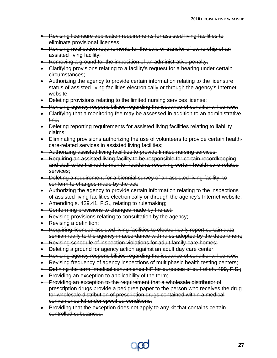- Revising licensure application requirements for assisted living facilities to eliminate provisional licenses;
- Revising notification requirements for the sale or transfer of ownership of an assisted living facility;
- Removing a ground for the imposition of an administrative penalty;
- Clarifying provisions relating to a facility's request for a hearing under certain circumstances;
- Authorizing the agency to provide certain information relating to the licensure status of assisted living facilities electronically or through the agency's Internet website;
- Deleting provisions relating to the limited nursing services license;
- Revising agency responsibilities regarding the issuance of conditional licenses;
- Clarifying that a monitoring fee may be assessed in addition to an administrative fine;
- Deleting reporting requirements for assisted living facilities relating to liability claims;
- Eliminating provisions authorizing the use of volunteers to provide certain healthcare-related services in assisted living facilities;
- Authorizing assisted living facilities to provide limited nursing services;
- Requiring an assisted living facility to be responsible for certain recordkeeping and staff to be trained to monitor residents receiving certain health-care-related services;
- Deleting a requirement for a biennial survey of an assisted living facility, to conform to changes made by the act;
- Authorizing the agency to provide certain information relating to the inspections of assisted living facilities electronically or through the agency's Internet website;
- Amending s. 429.41, F.S., relating to rulemaking;
- Conforming provisions to changes made by the act;
- Revising provisions relating to consultation by the agency;
- Revising a definition;
- Requiring licensed assisted living facilities to electronically report certain data semiannually to the agency in accordance with rules adopted by the department;
- Revising schedule of inspection violations for adult family-care homes;
- Deleting a ground for agency action against an adult day care center;
- Revising agency responsibilities regarding the issuance of conditional licenses;
- Revising frequency of agency inspections of multiphasic health testing centers;
- Defining the term "medical convenience kit" for purposes of pt. I of ch. 499, F.S.;
- Providing an exception to applicability of the term;
- Providing an exception to the requirement that a wholesale distributor of prescription drugs provide a pedigree paper to the person who receives the drug for wholesale distribution of prescription drugs contained within a medical convenience kit under specified conditions;
- Providing that the exception does not apply to any kit that contains certain controlled substances;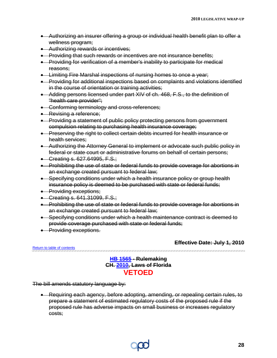- Authorizing an insurer offering a group or individual health benefit plan to offer a wellness program;
- Authorizing rewards or incentives;
- Providing that such rewards or incentives are not insurance benefits;
- Providing for verification of a member's inability to participate for medical reasons;
- Limiting Fire Marshal inspections of nursing homes to once a year;
- Providing for additional inspections based on complaints and violations identified in the course of orientation or training activities;
- Adding persons licensed under part XIV of ch. 468, F.S., to the definition of "health care provider";
- Conforming terminology and cross-references;
- Revising a reference:
- Providing a statement of public policy protecting persons from government compulsion relating to purchasing health insurance coverage;
- Preserving the right to collect certain debts incurred for health insurance or health services;
- Authorizing the Attorney General to implement or advocate such public policy in federal or state court or administrative forums on behalf of certain persons;
- Creating s. 627.64995, F.S.;
- Prohibiting the use of state or federal funds to provide coverage for abortions in an exchange created pursuant to federal law;
- Specifying conditions under which a health insurance policy or group health insurance policy is deemed to be purchased with state or federal funds;
- Providing exceptions;
- Creating s. 641.31099, F.S.;
- Prohibiting the use of state or federal funds to provide coverage for abortions in an exchange created pursuant to federal law;
- Specifying conditions under which a health maintenance contract is deemed to provide coverage purchased with state or federal funds;
- Providing exceptions.

**Effective Date: July 1, 2010**

<span id="page-29-0"></span>[Return to table of contents](#page-1-1)

### **[HB 1565](http://flhouse.gov/Sections/Documents/loaddoc.aspx?FileName=_h1565er.docx&DocumentType=Bill&BillNumber=1565&Session=2010) - Rulemaking CH. [2010,](http://laws.flrules.org/node?field_list_year_nid=5225) Laws of Florida VETOED**

The bill amends statutory language by:

• Requiring each agency, before adopting, amending, or repealing certain rules, to prepare a statement of estimated regulatory costs of the proposed rule if the proposed rule has adverse impacts on small business or increases regulatory costs;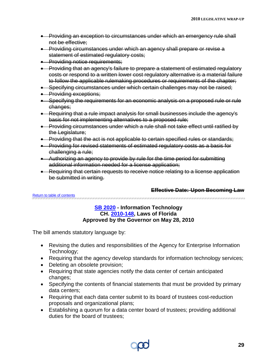- Providing an exception to circumstances under which an emergency rule shall not be effective;
- Providing circumstances under which an agency shall prepare or revise a statement of estimated regulatory costs;
- Providing notice requirements;
- Providing that an agency's failure to prepare a statement of estimated regulatory costs or respond to a written lower cost regulatory alternative is a material failure to follow the applicable rulemaking procedures or requirements of the chapter;
- Specifying circumstances under which certain challenges may not be raised;
- Providing exceptions;
- Specifying the requirements for an economic analysis on a proposed rule or rule changes;
- Requiring that a rule impact analysis for small businesses include the agency's basis for not implementing alternatives to a proposed rule;
- Providing circumstances under which a rule shall not take effect until ratified by the Legislature;
- Providing that the act is not applicable to certain specified rules or standards;
- Providing for revised statements of estimated regulatory costs as a basis for challenging a rule;
- Authorizing an agency to provide by rule for the time period for submitting additional information needed for a license application;
- Requiring that certain requests to receive notice relating to a license application be submitted in writing.

### **Effective Date: Upon Becoming Law**

<span id="page-30-0"></span>[Return to table of contents](#page-1-1)

### **[SB 2020](http://flsenate.gov/data/session/2010/Senate/bills/billtext/pdf/s2020er.pdf) - Information Technology CH. [2010-148,](http://laws.flrules.org/2010/148) Laws of Florida Approved by the Governor on May 28, 2010**

- Revising the duties and responsibilities of the Agency for Enterprise Information Technology;
- Requiring that the agency develop standards for information technology services;
- Deleting an obsolete provision;
- Requiring that state agencies notify the data center of certain anticipated changes;
- Specifying the contents of financial statements that must be provided by primary data centers;
- Requiring that each data center submit to its board of trustees cost-reduction proposals and organizational plans;
- Establishing a quorum for a data center board of trustees; providing additional duties for the board of trustees;

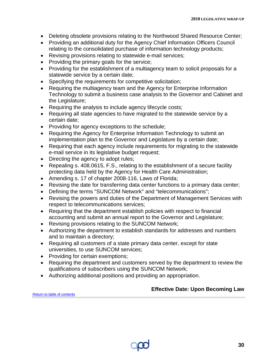- Deleting obsolete provisions relating to the Northwood Shared Resource Center;
- Providing an additional duty for the Agency Chief Information Officers Council relating to the consolidated purchase of information technology products;
- Revising provisions relating to statewide e-mail services;
- Providing the primary goals for the service;
- Providing for the establishment of a multiagency team to solicit proposals for a statewide service by a certain date;
- Specifying the requirements for competitive solicitation;
- Requiring the multiagency team and the Agency for Enterprise Information Technology to submit a business case analysis to the Governor and Cabinet and the Legislature;
- Requiring the analysis to include agency lifecycle costs;
- Requiring all state agencies to have migrated to the statewide service by a certain date;
- Providing for agency exceptions to the schedule;
- Requiring the Agency for Enterprise Information Technology to submit an implementation plan to the Governor and Legislature by a certain date;
- Requiring that each agency include requirements for migrating to the statewide e-mail service in its legislative budget request;
- Directing the agency to adopt rules;
- Repealing s. 408.0615, F.S., relating to the establishment of a secure facility protecting data held by the Agency for Health Care Administration;
- Amending s. 17 of chapter 2008-116, Laws of Florida;
- Revising the date for transferring data center functions to a primary data center;
- Defining the terms "SUNCOM Network" and "telecommunications";
- Revising the powers and duties of the Department of Management Services with respect to telecommunications services;
- Requiring that the department establish policies with respect to financial accounting and submit an annual report to the Governor and Legislature;
- Revising provisions relating to the SUNCOM Network;
- Authorizing the department to establish standards for addresses and numbers and to maintain a directory;
- Requiring all customers of a state primary data center, except for state universities, to use SUNCOM services;
- Providing for certain exemptions;
- Requiring the department and customers served by the department to review the qualifications of subscribers using the SUNCOM Network;
- Authorizing additional positions and providing an appropriation.

#### <span id="page-31-0"></span>**Effective Date: Upon Becoming Law** [Return to table of contents](#page-1-1)

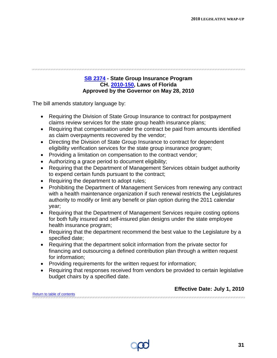### **[SB 2374](http://flsenate.gov/data/session/2010/Senate/bills/billtext/pdf/s2374er.pdf) - State Group Insurance Program CH. [2010-150,](http://laws.flrules.org/2010/150) Laws of Florida Approved by the Governor on May 28, 2010**

The bill amends statutory language by:

- Requiring the Division of State Group Insurance to contract for postpayment claims review services for the state group health insurance plans;
- Requiring that compensation under the contract be paid from amounts identified as claim overpayments recovered by the vendor;
- Directing the Division of State Group Insurance to contract for dependent eligibility verification services for the state group insurance program;
- Providing a limitation on compensation to the contract vendor;
- Authorizing a grace period to document eligibility;
- Requiring that the Department of Management Services obtain budget authority to expend certain funds pursuant to the contract;
- Requiring the department to adopt rules;
- Prohibiting the Department of Management Services from renewing any contract with a health maintenance organization if such renewal restricts the Legislatures authority to modify or limit any benefit or plan option during the 2011 calendar year;
- Requiring that the Department of Management Services require costing options for both fully insured and self-insured plan designs under the state employee health insurance program;
- Requiring that the department recommend the best value to the Legislature by a specified date;
- Requiring that the department solicit information from the private sector for financing and outsourcing a defined contribution plan through a written request for information;
- Providing requirements for the written request for information;
- Requiring that responses received from vendors be provided to certain legislative budget chairs by a specified date.

|                             | <b>LIIGULIVG DALG. JULY 1, ZVIV</b> |
|-----------------------------|-------------------------------------|
| Return to table of contents |                                     |
|                             |                                     |



**Effective Date: July 1, 2010**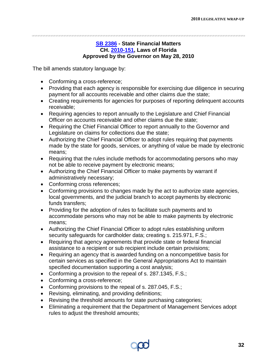### **[SB 2386](http://flsenate.gov/data/session/2010/Senate/bills/billtext/pdf/s2386er.pdf) - State Financial Matters CH. [2010-151,](http://laws.flrules.org/2010/151) Laws of Florida Approved by the Governor on May 28, 2010**

- <span id="page-33-0"></span>• Conforming a cross-reference;
- Providing that each agency is responsible for exercising due diligence in securing payment for all accounts receivable and other claims due the state;
- Creating requirements for agencies for purposes of reporting delinquent accounts receivable;
- Requiring agencies to report annually to the Legislature and Chief Financial Officer on accounts receivable and other claims due the state;
- Requiring the Chief Financial Officer to report annually to the Governor and Legislature on claims for collections due the state;
- Authorizing the Chief Financial Officer to adopt rules requiring that payments made by the state for goods, services, or anything of value be made by electronic means;
- Requiring that the rules include methods for accommodating persons who may not be able to receive payment by electronic means;
- Authorizing the Chief Financial Officer to make payments by warrant if administratively necessary;
- Conforming cross references;
- Conforming provisions to changes made by the act to authorize state agencies, local governments, and the judicial branch to accept payments by electronic funds transfers;
- Providing for the adoption of rules to facilitate such payments and to accommodate persons who may not be able to make payments by electronic means;
- Authorizing the Chief Financial Officer to adopt rules establishing uniform security safeguards for cardholder data; creating s. 215.971, F.S.;
- Requiring that agency agreements that provide state or federal financial assistance to a recipient or sub recipient include certain provisions;
- Requiring an agency that is awarded funding on a noncompetitive basis for certain services as specified in the General Appropriations Act to maintain specified documentation supporting a cost analysis;
- Conforming a provision to the repeal of s. 287.1345, F.S.;
- Conforming a cross-reference;
- Conforming provisions to the repeal of s. 287.045, F.S.;
- Revising, eliminating, and providing definitions;
- Revising the threshold amounts for state purchasing categories;
- Eliminating a requirement that the Department of Management Services adopt rules to adjust the threshold amounts;

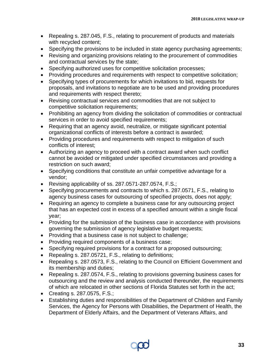- Repealing s. 287.045, F.S., relating to procurement of products and materials with recycled content;
- Specifying the provisions to be included in state agency purchasing agreements;
- Revising and organizing provisions relating to the procurement of commodities and contractual services by the state;
- Specifying authorized uses for competitive solicitation processes;
- Providing procedures and requirements with respect to competitive solicitation;
- Specifying types of procurements for which invitations to bid, requests for proposals, and invitations to negotiate are to be used and providing procedures and requirements with respect thereto;
- Revising contractual services and commodities that are not subject to competitive solicitation requirements;
- Prohibiting an agency from dividing the solicitation of commodities or contractual services in order to avoid specified requirements;
- Requiring that an agency avoid, neutralize, or mitigate significant potential organizational conflicts of interests before a contract is awarded;
- Providing procedures and requirements with respect to mitigation of such conflicts of interest;
- Authorizing an agency to proceed with a contract award when such conflict cannot be avoided or mitigated under specified circumstances and providing a restriction on such award;
- Specifying conditions that constitute an unfair competitive advantage for a vendor;
- Revising applicability of ss. 287.0571-287.0574, F.S.;
- Specifying procurements and contracts to which s. 287.0571, F.S., relating to agency business cases for outsourcing of specified projects, does not apply;
- Requiring an agency to complete a business case for any outsourcing project that has an expected cost in excess of a specified amount within a single fiscal year;
- Providing for the submission of the business case in accordance with provisions governing the submission of agency legislative budget requests;
- Providing that a business case is not subject to challenge;
- Providing required components of a business case;
- Specifying required provisions for a contract for a proposed outsourcing;
- Repealing s. 287.05721, F.S., relating to definitions;
- Repealing s. 287.0573, F.S., relating to the Council on Efficient Government and its membership and duties;
- Repealing s. 287.0574, F.S., relating to provisions governing business cases for outsourcing and the review and analysis conducted thereunder, the requirements of which are relocated in other sections of Florida Statutes set forth in the act;
- Creating s. 287.0575, F.S.;
- Establishing duties and responsibilities of the Department of Children and Family Services, the Agency for Persons with Disabilities, the Department of Health, the Department of Elderly Affairs, and the Department of Veterans Affairs, and

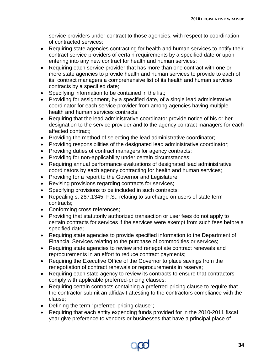service providers under contract to those agencies, with respect to coordination of contracted services;

- Requiring state agencies contracting for health and human services to notify their contract service providers of certain requirements by a specified date or upon entering into any new contract for health and human services;
- Requiring each service provider that has more than one contract with one or more state agencies to provide health and human services to provide to each of its contract managers a comprehensive list of its health and human services contracts by a specified date;
- Specifying information to be contained in the list;
- Providing for assignment, by a specified date, of a single lead administrative coordinator for each service provider from among agencies having multiple health and human services contracts;
- Requiring that the lead administrative coordinator provide notice of his or her designation to the service provider and to the agency contract managers for each affected contract;
- Providing the method of selecting the lead administrative coordinator;
- Providing responsibilities of the designated lead administrative coordinator;
- Providing duties of contract managers for agency contracts;
- Providing for non-applicability under certain circumstances;
- Requiring annual performance evaluations of designated lead administrative coordinators by each agency contracting for health and human services;
- Providing for a report to the Governor and Legislature;
- Revising provisions regarding contracts for services;
- Specifying provisions to be included in such contracts;
- Repealing s. 287.1345, F.S., relating to surcharge on users of state term contracts;
- Conforming cross references;
- Providing that statutorily authorized transaction or user fees do not apply to certain contracts for services if the services were exempt from such fees before a specified date;
- Requiring state agencies to provide specified information to the Department of Financial Services relating to the purchase of commodities or services;
- Requiring state agencies to review and renegotiate contract renewals and reprocurements in an effort to reduce contract payments;
- Requiring the Executive Office of the Governor to place savings from the renegotiation of contract renewals or reprocurements in reserve;
- Requiring each state agency to review its contracts to ensure that contractors comply with applicable preferred-pricing clauses;
- Requiring certain contracts containing a preferred-pricing clause to require that the contractor submit an affidavit attesting to the contractors compliance with the clause;
- Defining the term "preferred-pricing clause";
- Requiring that each entity expending funds provided for in the 2010-2011 fiscal year give preference to vendors or businesses that have a principal place of

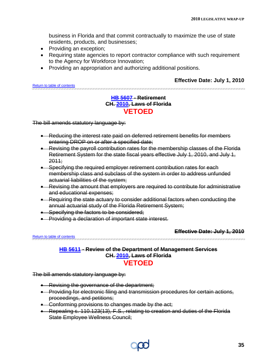business in Florida and that commit contractually to maximize the use of state residents, products, and businesses;

- Providing an exception;
- Requiring state agencies to report contractor compliance with such requirement to the Agency for Workforce Innovation;
- Providing an appropriation and authorizing additional positions.

### **Effective Date: July 1, 2010**

<span id="page-36-0"></span>[Return to table of contents](#page-1-1)

### **[HB 5607](http://flhouse.gov/Sections/Documents/loaddoc.aspx?FileName=_h5607er.docx&DocumentType=Bill&BillNumber=5607&Session=2010) - Retirement CH. [2010,](http://laws.flrules.org/node?field_list_year_nid=5225) Laws of Florida VETOED**

The bill amends statutory language by:

- Reducing the interest rate paid on deferred retirement benefits for members entering DROP on or after a specified date;
- Revising the payroll contribution rates for the membership classes of the Florida Retirement System for the state fiscal years effective July 1, 2010, and July 1, 2011;
- Specifying the required employer retirement contribution rates for each membership class and subclass of the system in order to address unfunded actuarial liabilities of the system;
- Revising the amount that employers are required to contribute for administrative and educational expenses;
- Requiring the state actuary to consider additional factors when conducting the annual actuarial study of the Florida Retirement System;
- Specifying the factors to be considered;
- Providing a declaration of important state interest.

**Effective Date: July 1, 2010**

#### <span id="page-36-1"></span>[Return to table of contents](#page-1-1)

**[HB 5611](http://flhouse.gov/Sections/Documents/loaddoc.aspx?FileName=_h5611er.docx&DocumentType=Bill&BillNumber=5611&Session=2010) - Review of the Department of Management Services CH. [2010,](http://laws.flrules.org/node?field_list_year_nid=5225) Laws of Florida VETOED**

- Revising the governance of the department;
- Providing for electronic filing and transmission procedures for certain actions, proceedings, and petitions;
- Conforming provisions to changes made by the act;
- Repealing s. 110.123(13), F.S., relating to creation and duties of the Florida State Employee Wellness Council;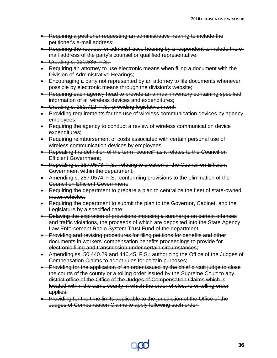- Requiring a petitioner requesting an administrative hearing to include the petitioner's e-mail address;
- Requiring the request for administrative hearing by a respondent to include the email address of the party's counsel or qualified representative;
- Creating s. 120.585, F.S.;
- Requiring an attorney to use electronic means when filing a document with the Division of Administrative Hearings;
- Encouraging a party not represented by an attorney to file documents whenever possible by electronic means through the division's website;
- Requiring each agency head to provide an annual inventory containing specified information of all wireless devices and expenditures;
- Creating s. 282.712, F.S.; providing legislative intent;
- Providing requirements for the use of wireless communication devices by agency employees;
- Requiring the agency to conduct a review of wireless communication device expenditures;
- Requiring reimbursement of costs associated with certain personal use of wireless communication devices by employees;
- Repealing the definition of the term "council" as it relates to the Council on Efficient Government;
- Repealing s. 287.0573, F.S., relating to creation of the Council on Efficient Government within the department;
- Amending s. 287.0574, F.S.; conforming provisions to the elimination of the Council on Efficient Government;
- Requiring the department to prepare a plan to centralize the fleet of state-owned motor vehicles;
- Requiring the department to submit the plan to the Governor, Cabinet, and the Legislature by a specified date;
- Delaying the expiration of provisions imposing a surcharge on certain offenses and traffic violations, the proceeds of which are deposited into the State Agency Law Enforcement Radio System Trust Fund of the department;
- Providing and revising procedures for filing petitions for benefits and other documents in workers' compensation benefits proceedings to provide for electronic filing and transmission under certain circumstances;
- Amending ss. 50 440.29 and 440.45, F.S.; authorizing the Office of the Judges of Compensation Claims to adopt rules for certain purposes;
- Providing for the application of an order issued by the chief circuit judge to close the courts of the county or a tolling order issued by the Supreme Court to any district office of the Office of the Judges of Compensation Claims which is located within the same county in which the order of closure or tolling order applies;
- Providing for the time limits applicable to the jurisdiction of the Office of the Judges of Compensation Claims to apply following such order;

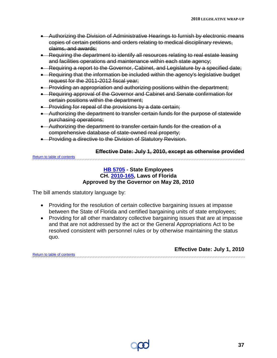- Authorizing the Division of Administrative Hearings to furnish by electronic means copies of certain petitions and orders relating to medical disciplinary reviews, claims, and awards;
- Requiring the department to identify all resources relating to real estate leasing and facilities operations and maintenance within each state agency;
- Requiring a report to the Governor, Cabinet, and Legislature by a specified date;
- Requiring that the information be included within the agency's legislative budget request for the 2011-2012 fiscal year;
- Providing an appropriation and authorizing positions within the department;
- Requiring approval of the Governor and Cabinet and Senate confirmation for certain positions within the department;
- Providing for repeal of the provisions by a date certain;
- Authorizing the department to transfer certain funds for the purpose of statewide purchasing operations;
- Authorizing the department to transfer certain funds for the creation of a comprehensive database of state-owned real property;
- Providing a directive to the Division of Statutory Revision.

<span id="page-38-0"></span>

|                             | Effective Date: July 1, 2010, except as otherwise provided |
|-----------------------------|------------------------------------------------------------|
| Return to table of contents |                                                            |

### **[HB 5705](http://flhouse.gov/Sections/Documents/loaddoc.aspx?FileName=_h5705er.docx&DocumentType=Bill&BillNumber=5705&Session=2010) - State Employees CH. [2010-165,](http://laws.flrules.org/2010/165) Laws of Florida Approved by the Governor on May 28, 2010**

The bill amends statutory language by:

- Providing for the resolution of certain collective bargaining issues at impasse between the State of Florida and certified bargaining units of state employees;
- Providing for all other mandatory collective bargaining issues that are at impasse and that are not addressed by the act or the General Appropriations Act to be resolved consistent with personnel rules or by otherwise maintaining the status quo.

**Effective Date: July 1, 2010**